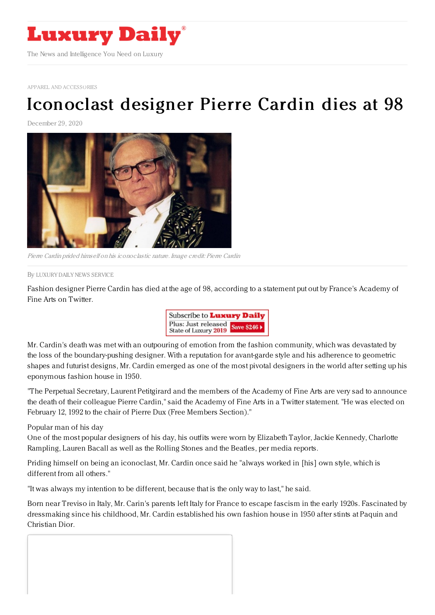

APPAREL AND [ACCESSORIES](https://www.luxurydaily.com/category/sectors/apparel-and-accessories/)

## [Iconoclast](https://www.luxurydaily.com/iconoclastic-designer-pierre-cardin-dies-at-98/) designer Pierre Cardin dies at 98

December 29, 2020



Pierre Cardin prided himself on his iconoclastic nature. Image credit: Pierre Cardin

By LUXURY DAILY NEWS [SERVICE](file:///author/luxury-daily-news-service)

Fashion designer Pierre Cardin has died at the age of 98, according to a statement put out by France's Academy of Fine Arts on Twitter.



Mr. Cardin's death was met with an outpouring of emotion from the fashion community, which was devastated by the loss of the boundary-pushing designer. With a reputation for avant-garde style and his adherence to geometric shapes and futurist designs, Mr. Cardin emerged as one of the most pivotal designers in the world after setting up his eponymous fashion house in 1950.

"The Perpetual Secretary, Laurent Petitgirard and the members of the Academy of Fine Arts are very sad to announce the death of their colleague Pierre Cardin," said the Academy of Fine Arts in a Twitter statement. "He was elected on February 12, 1992 to the chair of Pierre Dux (Free Members Section)."

Popular man of his day

One of the most popular designers of his day, his outfits were worn by Elizabeth Taylor, Jackie Kennedy, Charlotte Rampling, Lauren Bacall as well as the Rolling Stones and the Beatles, per media reports.

Priding himself on being an iconoclast, Mr. Cardin once said he "always worked in [his] own style, which is different from all others."

"It was always my intention to be different, because that is the only way to last," he said.

Born near Treviso in Italy, Mr. Carin's parents left Italy for France to escape fascism in the early 1920s. Fascinated by dressmaking since his childhood, Mr. Cardin established his own fashion house in 1950 after stints at Paquin and Christian Dior.